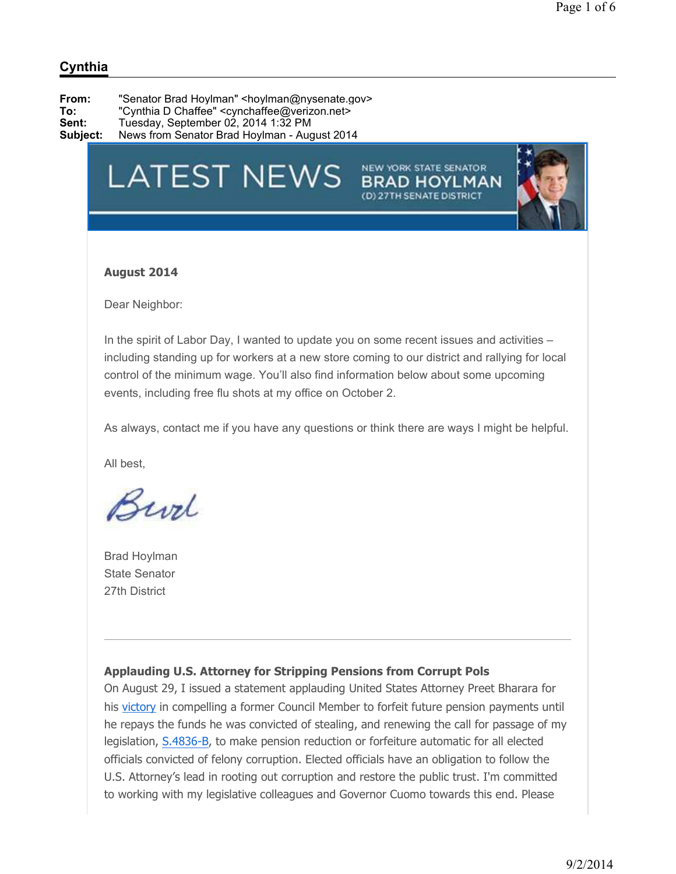# **LATEST NEWS**

**Subject:** News from Senator Brad Hoylman - August 2014

# NEW YORK STATE SENATOR



### **August 2014**

Dear Neighbor:

In the spirit of Labor Day, I wanted to update you on some recent issues and activities – including standing up for workers at a new store coming to our district and rallying for local control of the minimum wage. You'll also find information below about some upcoming events, including free flu shots at my office on October 2.

As always, contact me if you have any questions or think there are ways I might be helpful.

All best,

Burl

Brad Hoylman State Senator 27th District

# **Applauding U.S. Attorney for Stripping Pensions from Corrupt Pols**

On August 29, I issued a statement applauding United States Attorney Preet Bharara for his victory in compelling a former Council Member to forfeit future pension payments until he repays the funds he was convicted of stealing, and renewing the call for passage of my legislation, S.4836-B, to make pension reduction or forfeiture automatic for all elected officials convicted of felony corruption. Elected officials have an obligation to follow the U.S. Attorney's lead in rooting out corruption and restore the public trust. I'm committed to working with my legislative colleagues and Governor Cuomo towards this end. Please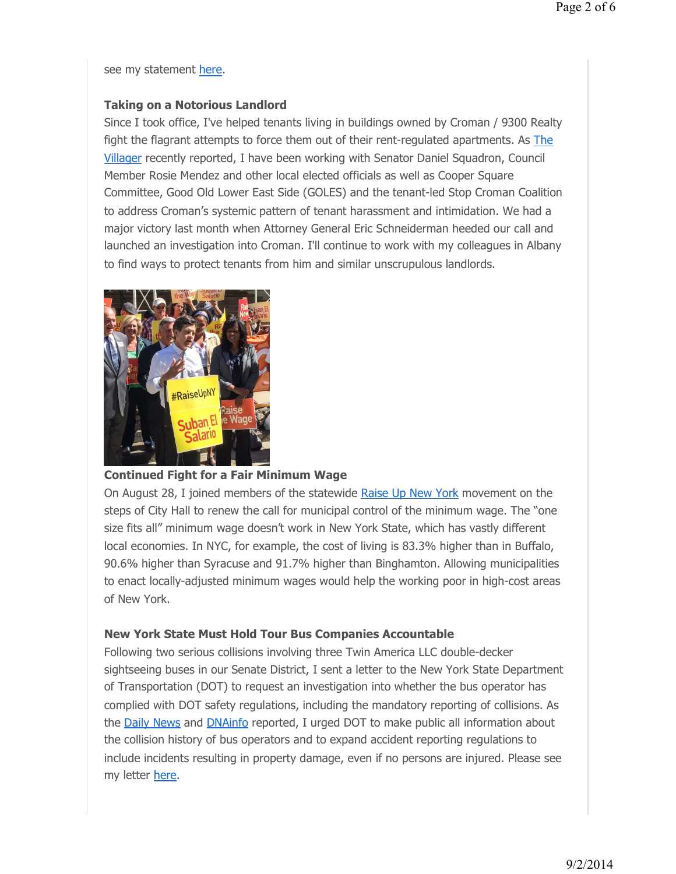see my statement here.

### **Taking on a Notorious Landlord**

Since I took office, I've helped tenants living in buildings owned by Croman / 9300 Realty fight the flagrant attempts to force them out of their rent-regulated apartments. As The Villager recently reported, I have been working with Senator Daniel Squadron, Council Member Rosie Mendez and other local elected officials as well as Cooper Square Committee, Good Old Lower East Side (GOLES) and the tenant-led Stop Croman Coalition to address Croman's systemic pattern of tenant harassment and intimidation. We had a major victory last month when Attorney General Eric Schneiderman heeded our call and launched an investigation into Croman. I'll continue to work with my colleagues in Albany to find ways to protect tenants from him and similar unscrupulous landlords.



# **Continued Fight for a Fair Minimum Wage**

On August 28, I joined members of the statewide Raise Up New York movement on the steps of City Hall to renew the call for municipal control of the minimum wage. The "one size fits all" minimum wage doesn't work in New York State, which has vastly different local economies. In NYC, for example, the cost of living is 83.3% higher than in Buffalo, 90.6% higher than Syracuse and 91.7% higher than Binghamton. Allowing municipalities to enact locally-adjusted minimum wages would help the working poor in high-cost areas of New York.

# **New York State Must Hold Tour Bus Companies Accountable**

Following two serious collisions involving three Twin America LLC double-decker sightseeing buses in our Senate District, I sent a letter to the New York State Department of Transportation (DOT) to request an investigation into whether the bus operator has complied with DOT safety regulations, including the mandatory reporting of collisions. As the Daily News and **DNAinfo** reported, I urged DOT to make public all information about the collision history of bus operators and to expand accident reporting regulations to include incidents resulting in property damage, even if no persons are injured. Please see my letter here.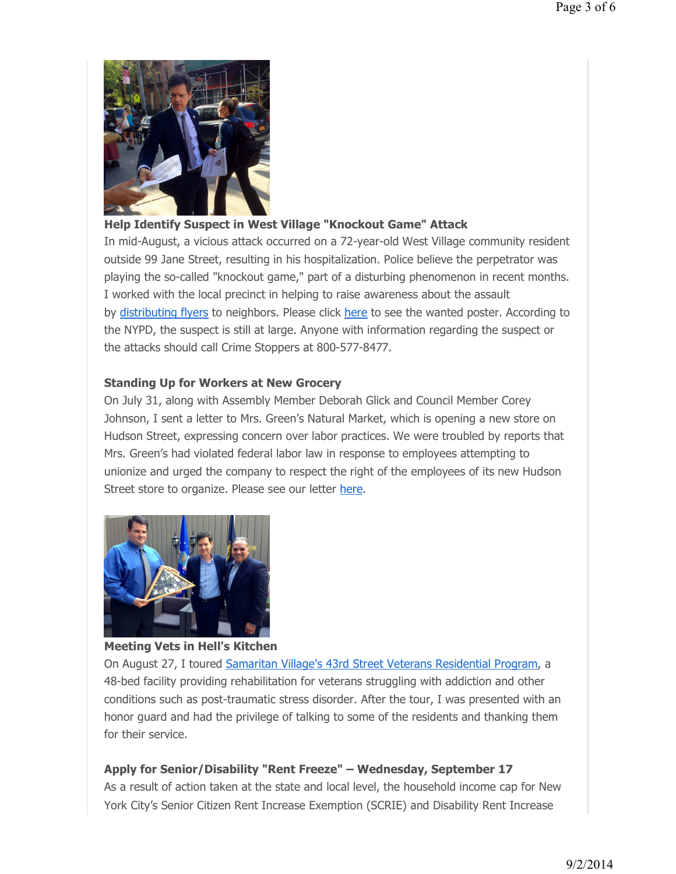

# **Help Identify Suspect in West Village "Knockout Game" Attack**

In mid-August, a vicious attack occurred on a 72-year-old West Village community resident outside 99 Jane Street, resulting in his hospitalization. Police believe the perpetrator was playing the so-called "knockout game," part of a disturbing phenomenon in recent months. I worked with the local precinct in helping to raise awareness about the assault by distributing flyers to neighbors. Please click here to see the wanted poster. According to the NYPD, the suspect is still at large. Anyone with information regarding the suspect or the attacks should call Crime Stoppers at 800-577-8477.

### **Standing Up for Workers at New Grocery**

On July 31, along with Assembly Member Deborah Glick and Council Member Corey Johnson, I sent a letter to Mrs. Green's Natural Market, which is opening a new store on Hudson Street, expressing concern over labor practices. We were troubled by reports that Mrs. Green's had violated federal labor law in response to employees attempting to unionize and urged the company to respect the right of the employees of its new Hudson Street store to organize. Please see our letter here.



# **Meeting Vets in Hell's Kitchen**

On August 27, I toured Samaritan Village's 43rd Street Veterans Residential Program, a 48-bed facility providing rehabilitation for veterans struggling with addiction and other conditions such as post-traumatic stress disorder. After the tour, I was presented with an honor guard and had the privilege of talking to some of the residents and thanking them for their service.

# **Apply for Senior/Disability "Rent Freeze" – Wednesday, September 17**

As a result of action taken at the state and local level, the household income cap for New York City's Senior Citizen Rent Increase Exemption (SCRIE) and Disability Rent Increase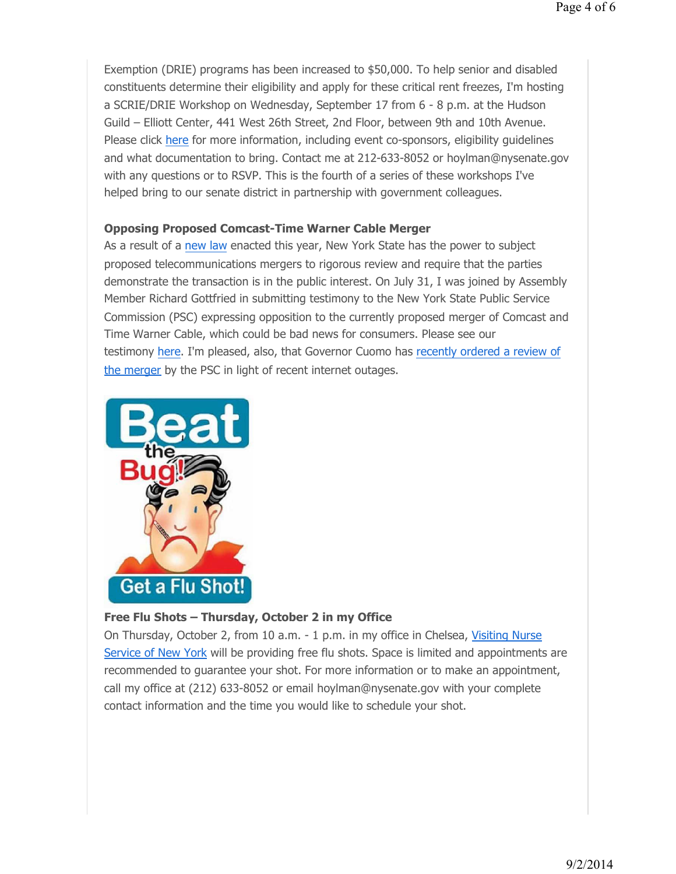Exemption (DRIE) programs has been increased to \$50,000. To help senior and disabled constituents determine their eligibility and apply for these critical rent freezes, I'm hosting a SCRIE/DRIE Workshop on Wednesday, September 17 from 6 - 8 p.m. at the Hudson Guild – Elliott Center, 441 West 26th Street, 2nd Floor, between 9th and 10th Avenue. Please click here for more information, including event co-sponsors, eligibility guidelines and what documentation to bring. Contact me at 212-633-8052 or hoylman@nysenate.gov with any questions or to RSVP. This is the fourth of a series of these workshops I've helped bring to our senate district in partnership with government colleagues.

#### **Opposing Proposed Comcast-Time Warner Cable Merger**

As a result of a new law enacted this year, New York State has the power to subject proposed telecommunications mergers to rigorous review and require that the parties demonstrate the transaction is in the public interest. On July 31, I was joined by Assembly Member Richard Gottfried in submitting testimony to the New York State Public Service Commission (PSC) expressing opposition to the currently proposed merger of Comcast and Time Warner Cable, which could be bad news for consumers. Please see our testimony here. I'm pleased, also, that Governor Cuomo has recently ordered a review of the merger by the PSC in light of recent internet outages.



#### **Free Flu Shots – Thursday, October 2 in my Office**

On Thursday, October 2, from 10 a.m. - 1 p.m. in my office in Chelsea, Visiting Nurse Service of New York will be providing free flu shots. Space is limited and appointments are recommended to guarantee your shot. For more information or to make an appointment, call my office at (212) 633-8052 or email hoylman@nysenate.gov with your complete contact information and the time you would like to schedule your shot.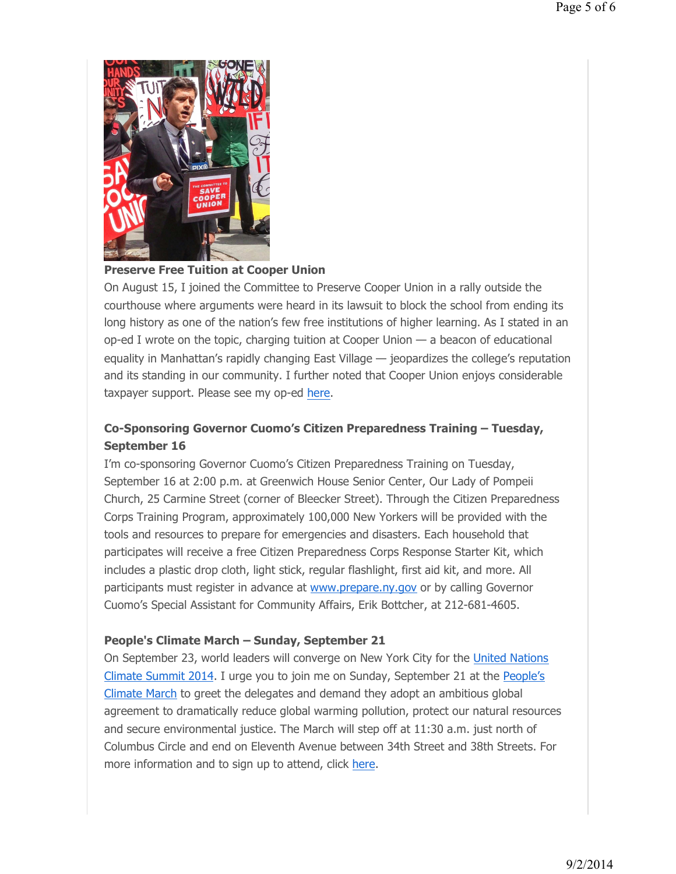

#### **Preserve Free Tuition at Cooper Union**

On August 15, I joined the Committee to Preserve Cooper Union in a rally outside the courthouse where arguments were heard in its lawsuit to block the school from ending its long history as one of the nation's few free institutions of higher learning. As I stated in an op-ed I wrote on the topic, charging tuition at Cooper Union — a beacon of educational equality in Manhattan's rapidly changing East Village — jeopardizes the college's reputation and its standing in our community. I further noted that Cooper Union enjoys considerable taxpayer support. Please see my op-ed here.

# **Co-Sponsoring Governor Cuomo's Citizen Preparedness Training – Tuesday, September 16**

I'm co-sponsoring Governor Cuomo's Citizen Preparedness Training on Tuesday, September 16 at 2:00 p.m. at Greenwich House Senior Center, Our Lady of Pompeii Church, 25 Carmine Street (corner of Bleecker Street). Through the Citizen Preparedness Corps Training Program, approximately 100,000 New Yorkers will be provided with the tools and resources to prepare for emergencies and disasters. Each household that participates will receive a free Citizen Preparedness Corps Response Starter Kit, which includes a plastic drop cloth, light stick, regular flashlight, first aid kit, and more. All participants must register in advance at www.prepare.ny.gov or by calling Governor Cuomo's Special Assistant for Community Affairs, Erik Bottcher, at 212-681-4605.

#### **People's Climate March – Sunday, September 21**

On September 23, world leaders will converge on New York City for the United Nations Climate Summit 2014. I urge you to join me on Sunday, September 21 at the People's Climate March to greet the delegates and demand they adopt an ambitious global agreement to dramatically reduce global warming pollution, protect our natural resources and secure environmental justice. The March will step off at 11:30 a.m. just north of Columbus Circle and end on Eleventh Avenue between 34th Street and 38th Streets. For more information and to sign up to attend, click here.